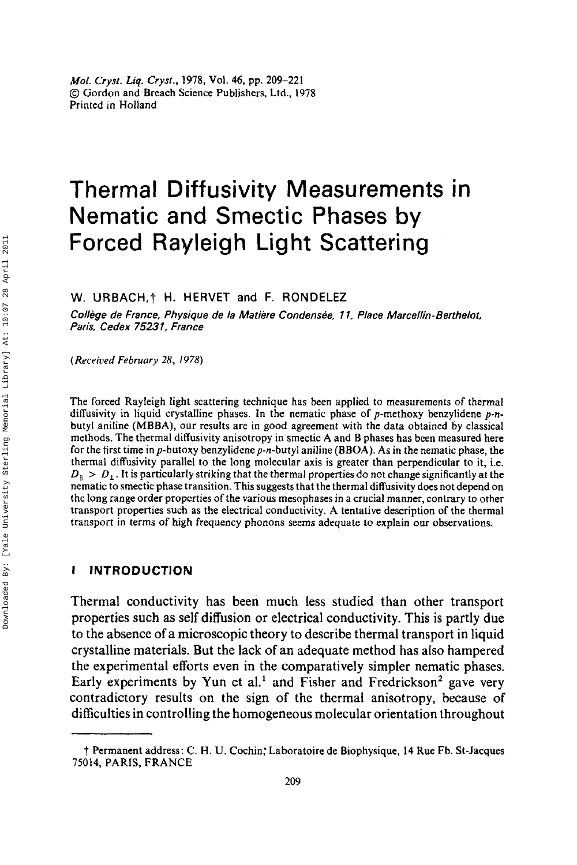# Thermal Diffusivity Measurements in Nematic and Smectic Phases **by**  Forced Rayleigh Light Scattering

**W. URBACH,? H. HERVET and F. RONDELEZ** 

*College de France, Physique de la Matiere Condensee, 1* **7.** *Place Marcellin- Berthelot, Paris, Cedex 7523 1, France* 

*(Received February* **28,** *1978)* 

The forced Rayleigh light scattering technique has been applied to measurements of thermal diffusivity in liquid crystalline phases. In the nematic phase of p-methoxy benzylidene *p-n*butyl aniline (MBBA), our results are in good agreement with the data obtained by classical methods. The thermal diffusivity anisotropy in smectic A and **B** phases has been measured here for the first time in  $p$ -butoxy benzylidene  $p$ -n-butyl aniline (BBOA). As in the nematic phase, the thermal diffusivity parallel to the long molecular axis is greater than perpendicular to it, i.e.  $D_n > D_1$ . It is particularly striking that the thermal properties do not change significantly at the nematic to smectic phase transition. This suggests that the thermal dithsivity does not depend on the long range order properties *of* the various mesophases in a crucial manner, contrary to other transport properties such as the electrical conductivity. A tentative description of the thermal transport in terms of high frequency phonons seems adequate to explain our observations.

#### **I INTRODUCTION**

Thermal conductivity has been much less studied than other transport properties such as self diffusion or electrical conductivity. This is partly due to the absence of a microscopic theory to describe thermal transport in liquid crystalline materials. But the lack of an adequate method has also hampered the experimental efforts even in the comparatively simpler nematic phases. Early experiments by Yun et al.<sup>1</sup> and Fisher and Fredrickson<sup>2</sup> gave very contradictory results on the sign of the thermal anisotropy, because of difficulties in controlling the homogeneous molecular orientation throughout

t Permanent address: C. H. U. Cochin; Laboratoire de Biophysique, **14** Rue Fb. St-Jacques **75014,** PARIS, FRANCE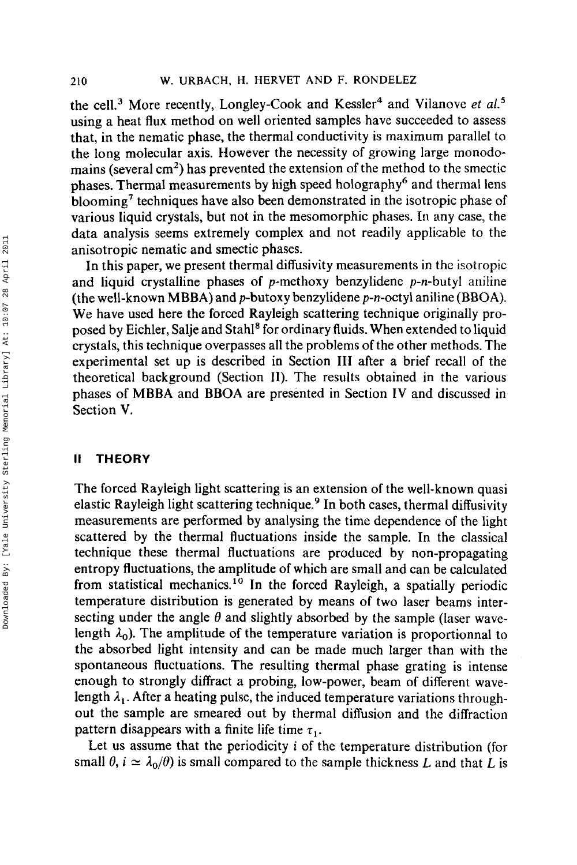the cell.<sup>3</sup> More recently, Longley-Cook and Kessler<sup>4</sup> and Vilanove et al.<sup>5</sup> using a heat flux method on well oriented samples have succeeded to assess that, in the nematic phase, the thermal conductivity is maximum parallel to the long molecular axis. However the necessity of growing large monodomains (several  $\text{cm}^2$ ) has prevented the extension of the method to the smectic phases. Thermal measurements by high speed holography<sup>6</sup> and thermal lens blooming<sup>7</sup> techniques have also been demonstrated in the isotropic phase of various liquid crystals, but not in the mesomorphic phases. In any case, the data analysis seems extremely complex and not readily applicable to the anisotropic nematic and smectic phases.

In this paper, we present thermal diffusivity measurements in the isotropic and liquid crystalline phases of p-methoxy benzylidene  $p-n$ -butyl aniline (the well-known MBBA) and  $p$ -butoxy benzylidene  $p$ -n-octyl aniline (BBOA). We have used here the forced Rayleigh scattering technique originally proposed by Eichler, Salje and Stah18 for ordinary fluids. When extended to liquid crystals, this technique overpasses all the problems of the other methods. The experimental set up is described in Section **111** after a brief recall of the theoretical background (Section **11).** The results obtained in the various phases of MBBA and BBOA are presented in Section IV and discussed in Section **V.** 

# **It THEORY**

The forced Rayleigh light scattering is an extension of the well-known quasi elastic Rayleigh light scattering technique.<sup>9</sup> In both cases, thermal diffusivity measurements are performed by analysing the time dependence of the light scattered by the thermal fluctuations inside the sample. In the classical technique these thermal fluctuations are produced by non-propagating entropy fluctuations, the amplitude of which are small and can be calculated from statistical mechanics.<sup>10</sup> In the forced Rayleigh, a spatially periodic temperature distribution is generated by means of two laser beams intersecting under the angle  $\theta$  and slightly absorbed by the sample (laser wavelength  $\lambda_0$ ). The amplitude of the temperature variation is proportionnal to the absorbed light intensity and can be made much larger than with the spontaneous fluctuations. The resulting thermal phase grating is intense enough to strongly diffract a probing, low-power, beam of different wavelength  $\lambda_1$ . After a heating pulse, the induced temperature variations throughout the sample are smeared out by thermal diffusion and the diffraction pattern disappears with a finite life time  $\tau_1$ .

Let us assume that the periodicity i of the temperature distribution (for small  $\theta$ ,  $i \simeq \lambda_0/\theta$ ) is small compared to the sample thickness *L* and that *L* is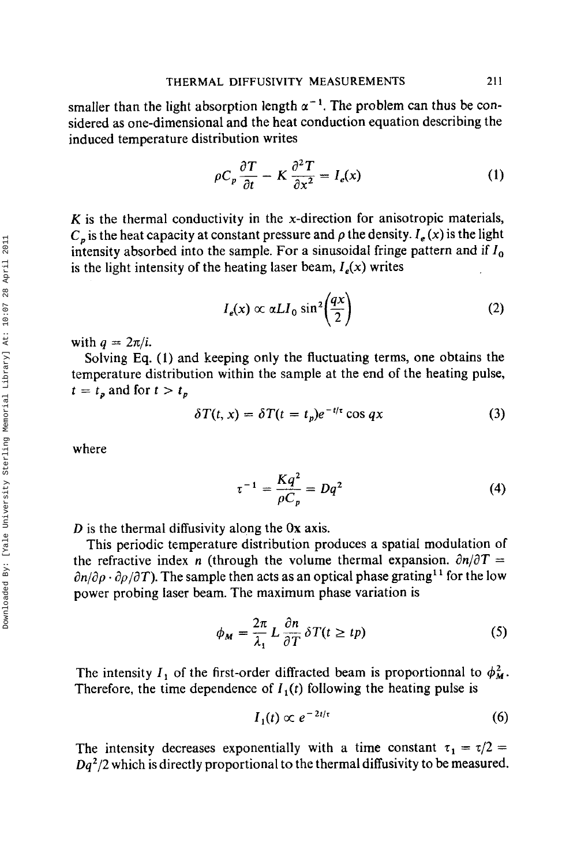smaller than the light absorption length  $\alpha^{-1}$ . The problem can thus be considered as one-dimensional and the heat conduction equation describing the induced temperature distribution writes

$$
\rho C_p \frac{\partial T}{\partial t} - K \frac{\partial^2 T}{\partial x^2} = I_e(x) \tag{1}
$$

*K* is the thermal conductivity in the x-direction for anisotropic materials,  $C_p$  is the heat capacity at constant pressure and  $\rho$  the density.  $I_e(x)$  is the light intensity absorbed into the sample. For a sinusoidal fringe pattern and if  $I_0$ is the light intensity of the heating laser beam,  $I_e(x)$  writes

$$
I_e(x) \propto \alpha L I_0 \sin^2\left(\frac{qx}{2}\right) \tag{2}
$$

with  $q = 2\pi/i$ .

Solving **Eq. (I)** and keeping only the fluctuating terms, one obtains the temperature distribution within the sample at the end **of** the heating pulse,  $t = t_p$  and for  $t > t_p$ 

$$
\delta T(t, x) = \delta T(t = t_p) e^{-t/\tau} \cos qx \tag{3}
$$

where

 $\tau^{-1} = \frac{Kq^2}{\rho C_n} = Dq^2$  $(4)$ 

*D* is the thermal diffusivity along the **Ox** axis.

This periodic temperature distribution produces a spatial modulation of the refractive index *n* (through the volume thermal expansion.  $\partial n/\partial T =$  $\partial n/\partial \rho \cdot \partial \rho/\partial T$ ). The sample then acts as an optical phase grating<sup>11</sup> for the low power probing laser beam. The maximum phase variation is

$$
\phi_M = \frac{2\pi}{\lambda_1} L \frac{\partial n}{\partial T} \delta T(t \ge tp)
$$
\n(5)

The intensity I<sub>1</sub> of the first-order diffracted beam is proportionnal to  $\phi_M^2$ . Therefore, the time dependence of  $I_1(t)$  following the heating pulse is

$$
I_1(t) \propto e^{-2t/\tau} \tag{6}
$$

The intensity decreases exponentially with a time constant  $\tau_1 = \tau/2$  = *Dq2/2* which *is* directly proportional to the thermal diffusivity to be measured.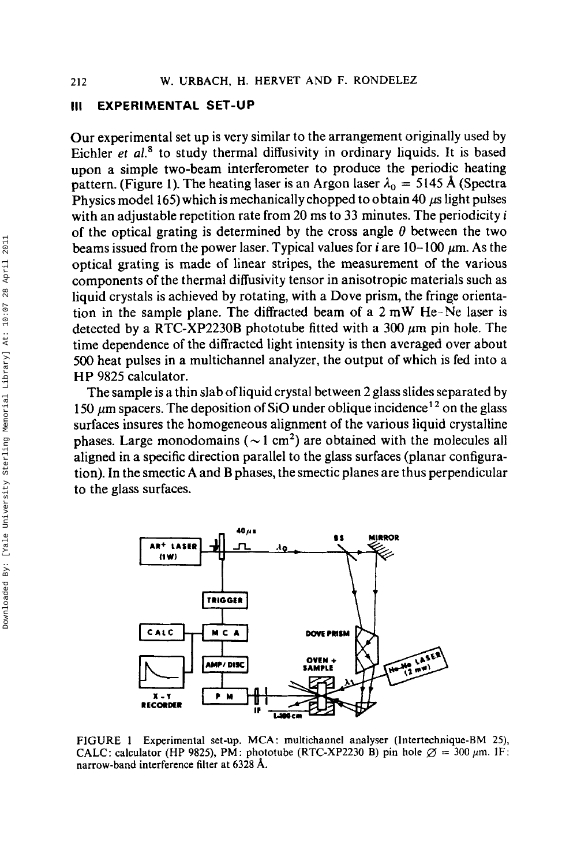#### **111 EXPERIMENTAL SET-UP**

Our experimental set up is very similar to the arrangement originally used by Eichler *et al.*<sup>8</sup> to study thermal diffusivity in ordinary liquids. It is based upon a simple two-beam interferometer to produce the periodic heating pattern. (Figure 1). The heating laser is an Argon laser  $\lambda_0 = 5145$  Å (Spectra Physics model 165) which is mechanically chopped to obtain 40 *ps* light pulses with an adjustable repetition rate from 20 ms to **33** minutes. The periodicity *i*  of the optical grating is determined by the cross angle  $\theta$  between the two beams issued from the power laser. Typical values for  $i$  are  $10-100 \mu m$ . As the optical grating is made **of** linear stripes, the measurement of the various components **of** the thermal diffusivity tensor in anisotropic materials such as liquid crystals is achieved by rotating, with a Dove prism, the fringe orientation in the sample plane. The diffracted beam **of** a 2 mW He-Ne laser is detected by a RTC-XP2230B phototube fitted with a  $300 \mu m$  pin hole. The time dependence of the diffracted light intensity is then averaged over about 500 heat pulses in a multichannel analyzer, the output of which is fed into a **HP 9825** calculator.

The sample is a thin slab of liquid crystal between 2 glass slides separated by 150  $\mu$ m spacers. The deposition of SiO under oblique incidence<sup>12</sup> on the glass surfaces insures the homogeneous alignment of the various liquid crystalline phases. Large monodomains ( $\sim$ 1 cm<sup>2</sup>) are obtained with the molecules all aligned in a specific direction parallel to the glass surfaces (planar configuration). In the smectic A and B phases, the smectic planes are thus perpendicular to the glass surfaces.



**FlGURE 1 Experimental set-up. MCA** : **multichannel analyser (Intertechnique-BM 25), CALC: calculator (HP 9825), PM: phototube (RTC-XP2230 B) pin hole**  $\varnothing = 300 \mu m$ **. IF: narrow-band interference filter at 6328 A.**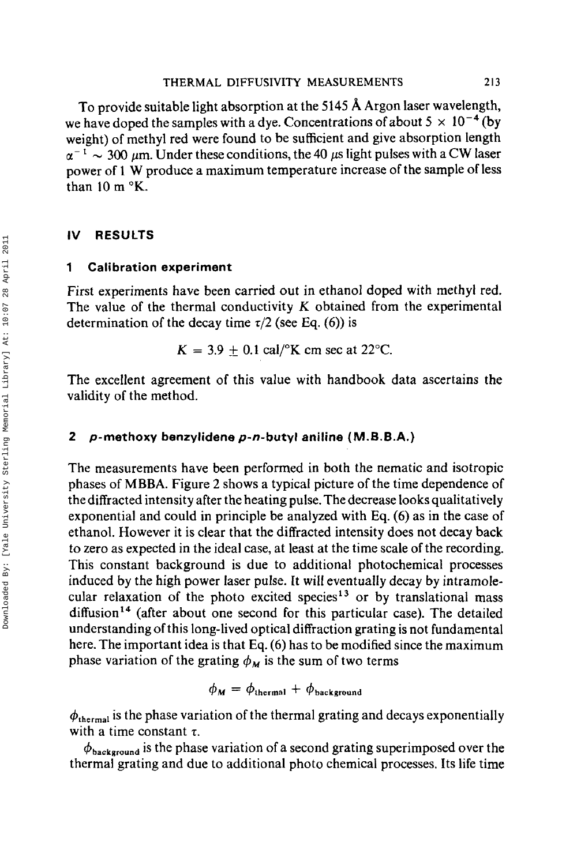To provide suitable light absorption at the **5145 A** Argon laser wavelength, we have doped the samples with a dye. Concentrations of about  $5 \times 10^{-4}$  (by weight) of methyl red were found to be sufficient and give absorption length  $\alpha^{-1} \sim 300 \ \mu m$ . Under these conditions, the 40  $\mu s$  light pulses with a CW laser power of 1 **W** produce a maximum temperature increase of the sample of less than  $10 \text{ m}$   $\textdegree$ K.

# **IV RESULTS**

#### **1 Calibration experiment**

First experiments have been carried out in ethanol doped with methyl red. The value of the thermal conductivity *K* obtained from the experimental determination of the decay time  $\tau/2$  (see Eq.  $(6)$ ) is

$$
K = 3.9 \pm 0.1 \text{ cal} / ^{\circ}K \text{ cm sec at } 22 \text{°C}.
$$

The excellent agreement of this value with handbook data ascertains the validity of the method.

## **2 p-methoxy benzylidene p-n-butyl aniline (M.B.B.A.)**

The measurements have been performed in both the nematic and isotropic phases of **MBBA.** Figure 2 shows a typical picture of the time dependence of the diffracted intensity after the heating pulse. The decrease looks qualitatively exponential and could in principle be analyzed with **Eq.** *(6)* as in the case of ethanol. However it is clear that the diffracted intensity does not decay back to zero as expected in the ideal case, at least at the time scale of the recording. This constant background **is** due to additional photochemical processes induced by the high power laser pulse. **It** will eventually decay by intramolecular relaxation of the photo excited species<sup>13</sup> or by translational mass diffusion<sup>14</sup> (after about one second for this particular case). The detailed understanding of this long-lived optical diffraction grating **is** not fundamental here. The important idea is that **Eq.** *(6)* has to be modified since the maximum phase variation of the grating  $\phi_M$  is the sum of two terms

$$
\phi_M = \phi_{\text{thermal}} + \phi_{\text{background}}
$$

 $\phi_{\text{thermal}}$  is the phase variation of the thermal grating and decays exponentially with a time constant  $\tau$ .

 $\phi_{\text{background}}$  is the phase variation of a second grating superimposed over the thermal grating and due to additional photo chemical processes. Its life time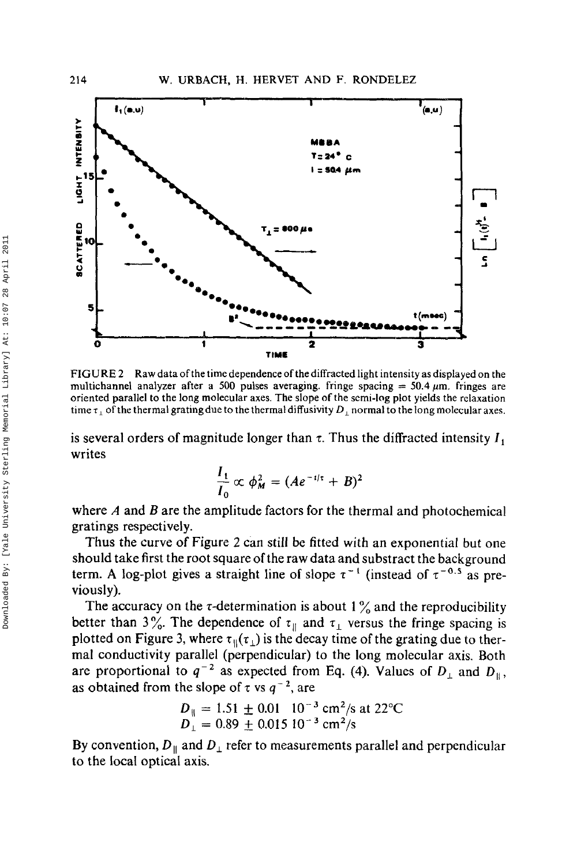

**FIGURE 2** Raw data of the time dependence of the diffracted light intensity as displayed on the multichannel analyzer after a 500 pulses averaging. fringe spacing  $= 50.4 \mu m$ . fringes are oriented parallel to the long molecular axes. The slope of the serni-log plot yields the relaxation time  $\tau_{\perp}$  of the thermal grating due to the thermal diffusivity  $D_{\perp}$  normal to the long molecular axes.

is several orders of magnitude longer than  $\tau$ . Thus the diffracted intensity  $I_1$ writes

$$
\frac{I_1}{I_0} \propto \phi_M^2 = (A e^{-t/\tau} + B)^2
$$

where *A* and *B* are the amplitude factors for the thermal and photochemical gratings respectively.

Thus the curve of Figure 2 can still be fitted with an exponential but one should take first the root square of the raw data and substract the background term. A log-plot gives a straight line of slope  $\tau^{-1}$  (instead of  $\tau^{-0.5}$  as previously).

The accuracy on the  $\tau$ -determination is about  $1\%$  and the reproducibility better than  $3\%$ . The dependence of  $\tau_{\parallel}$  and  $\tau_{\perp}$  versus the fringe spacing is plotted on Figure 3, where  $\tau_{\parallel}(\tau_1)$  is the decay time of the grating due to thermal conductivity parallel (perpendicular) to the long molecular axis. Both are proportional to  $q^{-2}$  as expected from Eq. (4). Values of  $D_{\perp}$  and  $D_{\parallel}$ , as obtained from the slope of  $\tau$  vs  $q^{-2}$ , are

$$
D_{\parallel} = 1.51 \pm 0.01 \cdot 10^{-3} \text{ cm}^2/\text{s at } 22^{\circ}\text{C}
$$
  

$$
D_{\perp} = 0.89 \pm 0.015 \cdot 10^{-3} \text{ cm}^2/\text{s}
$$

By convention,  $D_{\parallel}$  and  $D_{\perp}$  refer to measurements parallel and perpendicular to the local optical axis.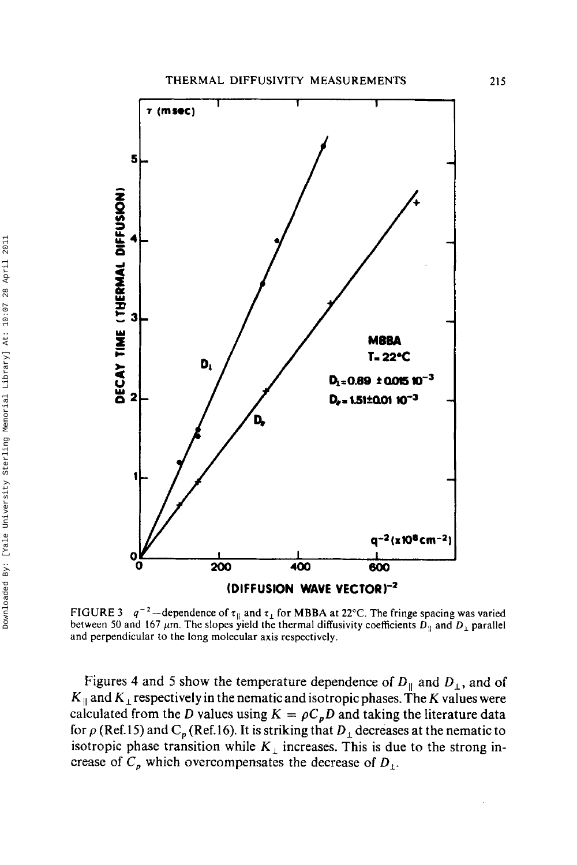

**FIGURE 3**  $q^{-2}$  -dependence of  $\tau_{\parallel}$  and  $\tau_{\perp}$  for MBBA at 22°C. The fringe spacing was varied between 50 and 167  $\mu$ m. The slopes yield the thermal diffusivity coefficients  $D_{\parallel}$  and  $D_{\perp}$  parallel **and perpendicular to the long molecular axis respectively.** 

Figures 4 and 5 show the temperature dependence of  $D_{\parallel}$  and  $D_{\perp}$ , and of  $K_{\parallel}$  and  $K_{\perp}$  respectively in the nematic and isotropic phases. The *K* values were calculated from the *D* values using  $K = \rho C_p D$  and taking the literature data for  $\rho$  (Ref.15) and C<sub>p</sub> (Ref.16). It is striking that  $D_1$  decreases at the nematic to isotropic phase transition while  $K_{\perp}$  increases. This is due to the strong increase of  $C_p$ , which overcompensates the decrease of  $D_1$ .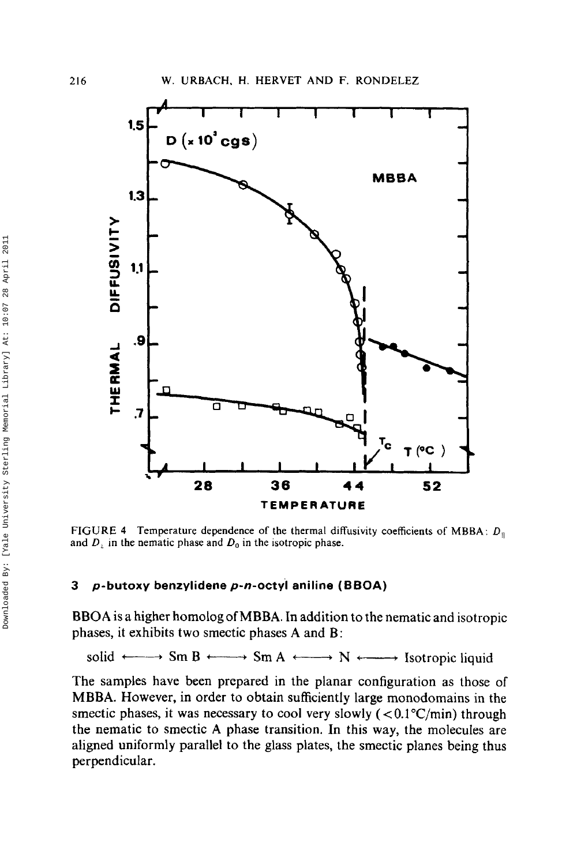

**FIGURE 4 Temperature dependence** of **the thermal diffusivity coefficients** of **MBBA:** *D,,*  and  $D_1$  in the nematic phase and  $D_0$  in the isotropic phase.

## **3 p-butoxy benzylidene p-n-octyl aniline (BBOA)**

**BBOA** is a higher homolog of **MBBA.** In addition to the nematic and isotropic phases, it exhibits two smectic phases **A** and B:

solid  $\longleftrightarrow$  Sm B  $\longleftrightarrow$  Sm A  $\longleftrightarrow$  N  $\longleftarrow$  Isotropic liquid

The samples have been prepared in the planar configuration as those of **MBBA.** However, in order to obtain sufficiently large monodomains in the smectic phases, it was necessary to cool very slowly  $(< 0.1 \degree C/min)$  through the nematic to smectic **A** phase transition. **In** this way, the molecules are aligned uniformly parallel to the glass plates, the smectic planes being thus perpendicular.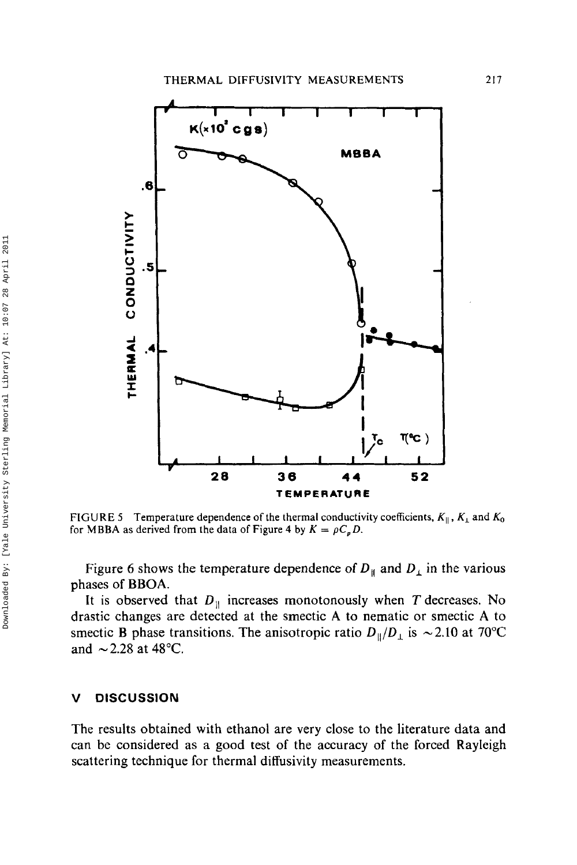

**FIGURE 5** Temperature dependence of the thermal conductivity coefficients,  $K_{\parallel}$ ,  $K_{\perp}$  and  $K_0$ for MBBA as derived from the data of Figure 4 by  $K = \rho C_p D$ .

Figure 6 shows the temperature dependence of  $D_{\parallel}$  and  $D_{\perp}$  in the various phases of **BBOA.** 

It is observed that  $D_{\parallel}$  increases monotonously when T decreases. No drastic changes are detected at the smectic **A** to nematic or smectic **A** to smectic **B** phase transitions. The anisotropic ratio  $D_{\parallel}/D_{\perp}$  is  $\sim 2.10$  at 70°C and  $\sim$  2.28 at 48 $^{\circ}$ C.

#### **V DISCUSSION**

The results obtained with ethanol are very close to the literature data and can be considered as a good test of the accuracy of the forced Rayleigh scattering technique for thermal diffusivity measurements.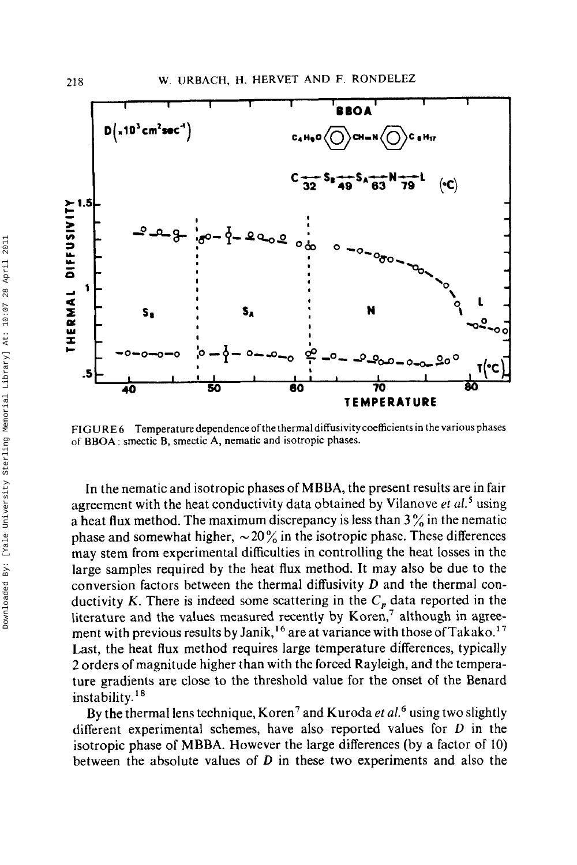

**FIGURE 6 Temperature dependence ofthe thermal diffusivity coefficients in the various phases of BBOA** : **smectic B, smectic A, nematic and isotropic phases.** 

In the nematic and isotropic phases of **MBBA,** the present results are in fair agreement with the heat conductivity data obtained by Vilanove *et* **aL5** using a heat flux method. The maximum discrepancy is less than **3** % in the nematic phase and somewhat higher,  $\sim 20\%$  in the isotropic phase. These differences may stem from experimental difficulties in controlling the heat losses in the large samples required by the heat flux method. It may also be due to the conversion factors between the thermal diffusivity *D* and the thermal conductivity *K*. There is indeed some scattering in the  $C<sub>p</sub>$  data reported in the literature and the values measured recently by Koren,' although in **agree**ment with previous results by Janik,<sup>16</sup> are at variance with those of Takako.<sup>17</sup> Last, the heat flux method requires large temperature differences, typically 2 orders of magnitude higher than with the forced Rayleigh, and the temperature gradients are close to the threshold value for the onset of the Benard instability. $18$ 

By the thermal lens technique, Koren' and Kuroda *et aL6* using two slightly different experimental schemes, have also reported values for *D* in the isotropic phase **of MBBA.** However the large differences (by a factor of 10) between the absolute values of *D* in these two experiments and also the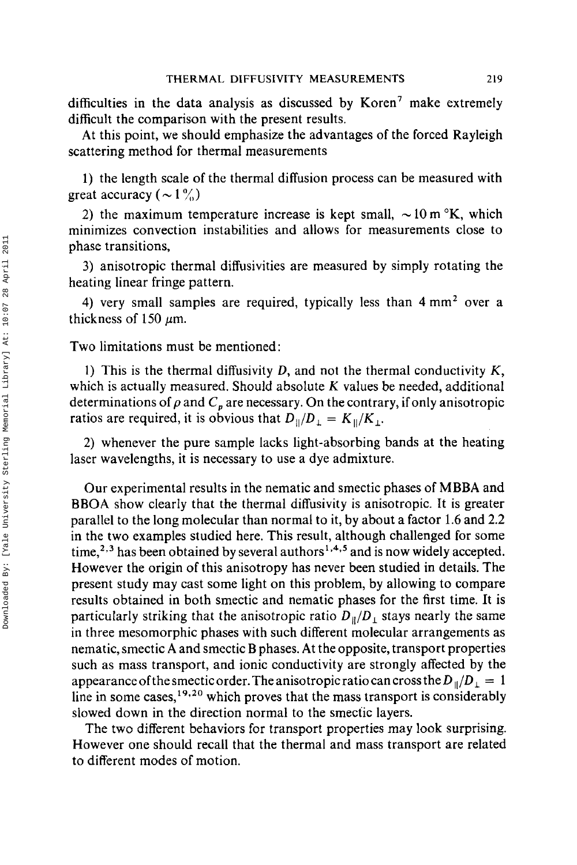difficulties in the data analysis as discussed by Koren' make extremely difficult the comparison with the present results.

At this point, we should emphasize the advantages of the forced Rayleigh scattering method for thermal measurements

1) the length scale of the thermal diffusion process can be measured with great accuracy ( $\sim 1\%$ )

2) the maximum temperature increase is kept small,  $\sim 10 \text{ m} \text{°K}$ , which minimizes convection instabilities and allows for measurements close to phase transitions,

**3)** anisotropic thermal diffusivities are measured by simply rotating the heating linear fringe pattern.

**4)** very small samples are required, typically less than **4** mmz over a thickness of 150  $\mu$ m.

Two limitations must be mentioned:

1) This is the thermal diffusivity D, and not the thermal conductivity *K,*  which is actually measured. Should absolute *K* values be needed, additional determinations of  $\rho$  and  $C<sub>n</sub>$  are necessary. On the contrary, if only anisotropic ratios are required, it is obvious that  $D_{\parallel}/D_{\perp} = K_{\parallel}/K_{\perp}$ .

**2)** whenever the pure sample lacks light-absorbing bands at the heating laser wavelengths, it is necessary to use a dye admixture.

Our experimental results in the nematic and smectic phases of MBBA and **BBOA** show clearly that the thermal diffusivity is anisotropic. It **is** greater parallel to the long molecular than normal to it, by about a factor 1.6 and 2.2 in the two examples studied here. This result, although challenged for some time,<sup>2,3</sup> has been obtained by several authors<sup>1,4,5</sup> and is now widely accepted. However the origin of this anisotropy has never been studied in details. The present study may cast some light on this problem, by allowing to compare results obtained in both smectic and nematic phases for the first time. It is particularly striking that the anisotropic ratio  $D_{\parallel}/D_{\perp}$  stays nearly the same in three mesomorphic phases with such different molecular arrangements as nematic, smectic **A** and smectic B phases. At the opposite, transport properties such as mass transport, and ionic conductivity are strongly affected by the appearance of the smectic order. The anisotropic ratio can cross the  $D_{\parallel}/D_{\perp} = 1$ line in some cases,<sup>19,20</sup> which proves that the mass transport is considerably slowed down in the direction normal to the smectic layers.

The two different behaviors for transport properties may **look** surprising. However one should recall that the thermal and mass transport are related to different modes of motion.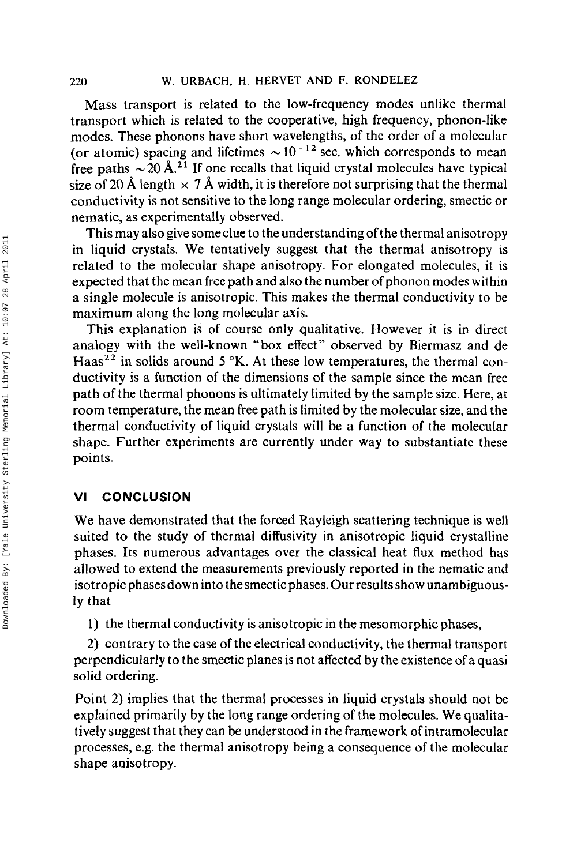Mass transport is related to the low-frequency modes unlike thermal transport which is related to the cooperative, high frequency, phonon-like modes. These phonons have short wavelengths, of the order of a molecular (or atomic) spacing and lifetimes  $\sim 10^{-12}$  sec. which corresponds to mean free paths  $\sim 20 \text{ Å}^{21}$  If one recalls that liquid crystal molecules have typical size of 20 Å length  $\times$  7 Å width, it is therefore not surprising that the thermal conductivity is not sensitive to the long range molecular ordering, smectic or nematic, as experimentally observed.

This may also give some clue to the understanding of the thermal anisotropy in liquid crystals. We tentatively suggest that the thermal anisotropy is related to the molecular shape anisotropy. For elongated molecules, it is expected that the mean free path and also the number of phonon modes within a single molecule is anisotropic. This makes the thermal conductivity to be maximum along the long molecular axis.

This explanation is of course only qualitative. However it is in direct analogy with the well-known "box effect" observed by Biermasz and de Haas<sup>22</sup> in solids around  $5 \text{°K}$ . At these low temperatures, the thermal conductivity is a function of the dimensions of the sample since the mean free path of the thermal phonons is ultimately limited by the sample size. Here, at room temperature, the mean free path is limited by the molecular size, and the thermal conductivity of liquid crystals will be a function of the molecular shape. Further experiments are currently under way to substantiate these points.

## **VI CONCLUSION**

We have demonstrated that the forced Rayleigh scattering technique is well suited to the study of thermal diffusivity in anisotropic liquid crystalline phases. Its numerous advantages over the classical heat flux method has allowed to extend the measurements previously reported in the nematic and isotropic phasesdown into thesmecticphases. Our results show unambiguously that

1) the thermal conductivity is anisotropic in the mesomorphic phases,

2) contrary to the case of the electrical conductivity, the thermal transport perpendicularly to the smectic planes is not affected by the existence of a quasi solid ordering.

Point 2) implies that the thermal processes in liquid crystals should not be explained primarily by the long range ordering of the molecules. We qualitatively suggest that they can be understood in the framework of intramolecular processes, e.g. the thermal anisotropy being a consequence of the molecular shape anisotropy.